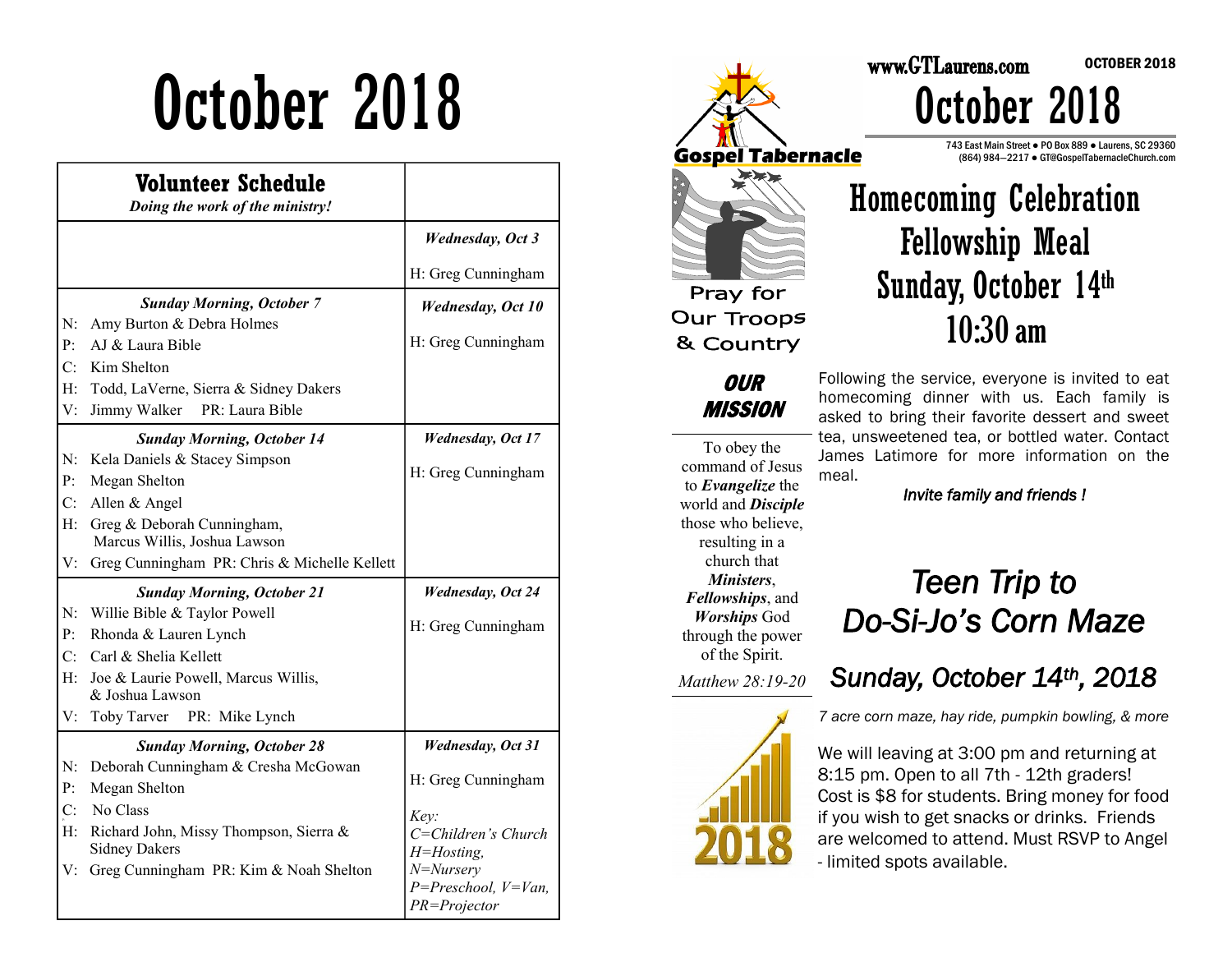# October 2018

|                | Volunteer Schedule<br>Doing the work of the ministry! |                           |
|----------------|-------------------------------------------------------|---------------------------|
|                |                                                       | <b>Wednesday</b> , Oct 3  |
|                |                                                       | H: Greg Cunningham        |
|                | <b>Sunday Morning, October 7</b>                      | <b>Wednesday</b> , Oct 10 |
| N:             | Amy Burton & Debra Holmes                             |                           |
| P <sub>T</sub> | AJ & Laura Bible                                      | H: Greg Cunningham        |
| C:             | Kim Shelton                                           |                           |
| $H$ :          | Todd, LaVerne, Sierra & Sidney Dakers                 |                           |
| V:             | PR: Laura Bible<br>Jimmy Walker                       |                           |
|                | <b>Sunday Morning, October 14</b>                     | <b>Wednesday</b> , Oct 17 |
|                | N: Kela Daniels & Stacey Simpson                      |                           |
| P <sub>i</sub> | Megan Shelton                                         | H: Greg Cunningham        |
| C <sub>i</sub> | Allen & Angel                                         |                           |
| $H$ :          | Greg & Deborah Cunningham,                            |                           |
|                | Marcus Willis, Joshua Lawson                          |                           |
| V:             | Greg Cunningham PR: Chris & Michelle Kellett          |                           |
|                | <b>Sunday Morning, October 21</b>                     | <b>Wednesday</b> , Oct 24 |
| N:             | Willie Bible & Taylor Powell                          |                           |
| P <sub>1</sub> | Rhonda & Lauren Lynch                                 | H: Greg Cunningham        |
| C:             | Carl & Shelia Kellett                                 |                           |
| $H^+$          | Joe & Laurie Powell, Marcus Willis,                   |                           |
|                | & Joshua Lawson                                       |                           |
| V:             | Toby Tarver<br>PR: Mike Lynch                         |                           |
|                | <b>Sunday Morning, October 28</b>                     | <b>Wednesday</b> , Oct 31 |
| N:             | Deborah Cunningham & Cresha McGowan                   |                           |
| P <sub>1</sub> | Megan Shelton                                         | H: Greg Cunningham        |
| C:             | No Class                                              | Key:                      |
| $H$ :          | Richard John, Missy Thompson, Sierra &                | C=Children's Church       |
|                | <b>Sidney Dakers</b>                                  | H=Hosting,                |
| V:             | Greg Cunningham PR: Kim & Noah Shelton                | $N = Nursery$             |
|                |                                                       | $P = Preschool, V=Van,$   |
|                |                                                       | PR=Projector              |



#### Homecoming Celebration Fellowship Meal Sunday, October 14th 10:30 am

Following the service, everyone is invited to eat homecoming dinner with us. Each family is asked to bring their favorite dessert and sweet tea, unsweetened tea, or bottled water. Contact James Latimore for more information on the meal.

*Invite family and friends !* 

those who believe, resulting in a church that *Ministers*, *Fellowships*, and *Worships* God through the power of the Spirit.

To obey the command of Jesus to *Evangelize* the world and *Disciple* 

**OUR MISSION** 

*Matthew 28:19-20* 



#### *Teen Trip to Do-Si-Jo's Corn Maze*

*Sunday, October 14th, 2018* 

*7 acre corn maze, hay ride, pumpkin bowling, & more*

We will leaving at 3:00 pm and returning at 8:15 pm. Open to all 7th - 12th graders! Cost is \$8 for students. Bring money for food if you wish to get snacks or drinks. Friends are welcomed to attend. Must RSVP to Angel - limited spots available.

OCTOBER 2018

# October 2018

www.GTLaurens.com

743 East Main Street ● PO Box 889 ● Laurens, SC 29360 (864) 984—2217 ● GT@GospelTabernacleChurch.com